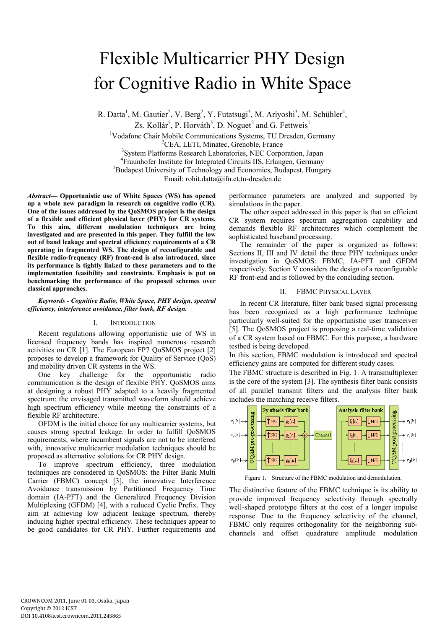# Flexible Multicarrier PHY Design for Cognitive Radio in White Space

R. Datta<sup>1</sup>, M. Gautier<sup>2</sup>, V. Berg<sup>2</sup>, Y. Futatsugi<sup>3</sup>, M. Ariyoshi<sup>3</sup>, M. Schühler<sup>4</sup>,

Zs. Kollár<sup>5</sup>, P. Horváth<sup>5</sup>, D. Noguet<sup>2</sup> and G. Fettweis<sup>1</sup>

<sup>1</sup>Vodafone Chair Mobile Communications Systems, TU Dresden, Germany  ${}^{2}$ CEA, LETL Minstee, Granable, France

<sup>2</sup>CEA, LETI, Minatec, Grenoble, France

<sup>3</sup> System Platforms Research Laboratories, NEC Corporation, Japan

<sup>4</sup> Fraunhofer Institute for Integrated Circuits IIS, Erlangen, Germany <sup>5</sup>Budapest University of Technology and Economics, Budapest, Hungary

Email: rohit.datta@ifn.et.tu-dresden.de

*Abstract***— Opportunistic use of White Spaces (WS) has opened up a whole new paradigm in research on cognitive radio (CR). One of the issues addressed by the QoSMOS project is the design of a flexible and efficient physical layer (PHY) for CR systems. To this aim, different modulation techniques are being investigated and are presented in this paper. They fulfill the low out of band leakage and spectral efficiency requirements of a CR operating in fragmented WS. The design of reconfigurable and flexible radio-frequency (RF) front-end is also introduced, since its performance is tightly linked to these parameters and to the implementation feasibility and constraints. Emphasis is put on benchmarking the performance of the proposed schemes over classical approaches.** 

## *Keywords - Cognitive Radio, White Space, PHY design, spectral efficiency, interference avoidance, filter bank, RF design.*

## I. INTRODUCTION

Recent regulations allowing opportunistic use of WS in licensed frequency bands has inspired numerous research activities on CR [1]. The European FP7 QoSMOS project [2] proposes to develop a framework for Quality of Service (QoS) and mobility driven CR systems in the WS.

One key challenge for the opportunistic radio communication is the design of flexible PHY. QoSMOS aims at designing a robust PHY adapted to a heavily fragmented spectrum: the envisaged transmitted waveform should achieve high spectrum efficiency while meeting the constraints of a flexible RF architecture.

OFDM is the initial choice for any multicarrier systems, but causes strong spectral leakage. In order to fulfill QoSMOS requirements, where incumbent signals are not to be interfered with, innovative multicarrier modulation techniques should be proposed as alternative solutions for CR PHY design.

To improve spectrum efficiency, three modulation techniques are considered in QoSMOS: the Filter Bank Multi Carrier (FBMC) concept [3], the innovative Interference Avoidance transmission by Partitioned Frequency Time domain (IA-PFT) and the Generalized Frequency Division Multiplexing (GFDM) [4], with a reduced Cyclic Prefix. They aim at achieving low adjacent leakage spectrum, thereby inducing higher spectral efficiency. These techniques appear to be good candidates for CR PHY. Further requirements and

performance parameters are analyzed and supported by simulations in the paper.

The other aspect addressed in this paper is that an efficient CR system requires spectrum aggregation capability and demands flexible RF architectures which complement the sophisticated baseband processing.

The remainder of the paper is organized as follows: Sections II, III and IV detail the three PHY techniques under investigation in QoSMOS: FBMC, IA-PFT and GFDM respectively. Section V considers the design of a reconfigurable RF front-end and is followed by the concluding section.

# II. FBMC PHYSICAL LAYER

 In recent CR literature, filter bank based signal processing has been recognized as a high performance technique particularly well-suited for the opportunistic user transceiver [5]. The QoSMOS project is proposing a real-time validation of a CR system based on FBMC. For this purpose, a hardware testbed is being developed.

In this section, FBMC modulation is introduced and spectral efficiency gains are computed for different study cases.

The FBMC structure is described in Fig. 1. A transmultiplexer is the core of the system [3]. The synthesis filter bank consists of all parallel transmit filters and the analysis filter bank includes the matching receive filters.



Figure 1. Structure of the FBMC modulation and demodulation.

The distinctive feature of the FBMC technique is its ability to provide improved frequency selectivity through spectrally well-shaped prototype filters at the cost of a longer impulse response. Due to the frequency selectivity of the channel, FBMC only requires orthogonality for the neighboring subchannels and offset quadrature amplitude modulation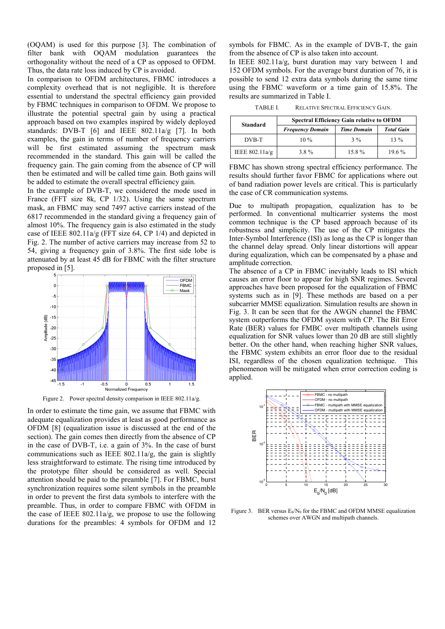(OQAM) is used for this purpose [3]. The combination of filter bank with OQAM modulation guarantees the orthogonality without the need of a CP as opposed to OFDM. Thus, the data rate loss induced by CP is avoided.

In comparison to OFDM architectures, FBMC introduces a complexity overhead that is not negligible. It is therefore essential to understand the spectral efficiency gain provided by FBMC techniques in comparison to OFDM. We propose to illustrate the potential spectral gain by using a practical approach based on two examples inspired by widely deployed standards: DVB-T [6] and IEEE 802.11a/g [7]. In both examples, the gain in terms of number of frequency carriers will be first estimated assuming the spectrum mask recommended in the standard. This gain will be called the frequency gain. The gain coming from the absence of CP will then be estimated and will be called time gain. Both gains will be added to estimate the overall spectral efficiency gain.

In the example of DVB-T, we considered the mode used in France (FFT size 8k, CP 1/32). Using the same spectrum mask, an FBMC may send 7497 active carriers instead of the 6817 recommended in the standard giving a frequency gain of almost 10%. The frequency gain is also estimated in the study case of IEEE 802.11a/g (FFT size 64, CP 1/4) and depicted in Fig. 2. The number of active carriers may increase from 52 to 54, giving a frequency gain of 3.8%. The first side lobe is attenuated by at least 45 dB for FBMC with the filter structure proposed in [5].



Figure 2. Power spectral density comparison in IEEE 802.11a/g.

In order to estimate the time gain, we assume that FBMC with adequate equalization provides at least as good performance as OFDM [8] (equalization issue is discussed at the end of the section). The gain comes then directly from the absence of CP in the case of DVB-T, i.e. a gain of 3%. In the case of burst communications such as IEEE 802.11a/g, the gain is slightly less straightforward to estimate. The rising time introduced by the prototype filter should be considered as well. Special attention should be paid to the preamble [7]. For FBMC, burst synchronization requires some silent symbols in the preamble in order to prevent the first data symbols to interfere with the preamble. Thus, in order to compare FBMC with OFDM in the case of IEEE 802.11a/g, we propose to use the following durations for the preambles: 4 symbols for OFDM and 12

symbols for FBMC. As in the example of DVB-T, the gain from the absence of CP is also taken into account.

In IEEE 802.11a/g, burst duration may vary between 1 and 152 OFDM symbols. For the average burst duration of 76, it is possible to send 12 extra data symbols during the same time using the FBMC waveform or a time gain of 15.8%. The results are summarized in Table I.

TABLE I. RELATIVE SPECTRAL EFFICIENCY GAIN.

| <b>Standard</b>  | <b>Spectral Efficiency Gain relative to OFDM</b> |                    |                   |  |
|------------------|--------------------------------------------------|--------------------|-------------------|--|
|                  | <b>Frequency Domain</b>                          | <b>Time Domain</b> | <b>Total Gain</b> |  |
| DVB-T            | $10\%$                                           | $3\%$              | $13\%$            |  |
| IEEE $802.11a/g$ | 3.8%                                             | $15.8\%$           | $19.6\%$          |  |

FBMC has shown strong spectral efficiency performance. The results should further favor FBMC for applications where out of band radiation power levels are critical. This is particularly the case of CR communication systems.

Due to multipath propagation, equalization has to be performed. In conventional multicarrier systems the most common technique is the CP based approach because of its robustness and simplicity. The use of the CP mitigates the Inter-Symbol Interference (ISI) as long as the CP is longer than the channel delay spread. Only linear distortions will appear during equalization, which can be compensated by a phase and amplitude correction.

The absence of a CP in FBMC inevitably leads to ISI which causes an error floor to appear for high SNR regimes. Several approaches have been proposed for the equalization of FBMC systems such as in [9]. These methods are based on a per subcarrier MMSE equalization. Simulation results are shown in Fig. 3. It can be seen that for the AWGN channel the FBMC system outperforms the OFDM system with CP. The Bit Error Rate (BER) values for FMBC over multipath channels using equalization for SNR values lower than 20 dB are still slightly better. On the other hand, when reaching higher SNR values, the FBMC system exhibits an error floor due to the residual ISI, regardless of the chosen equalization technique. This phenomenon will be mitigated when error correction coding is applied.



Figure 3. BER versus  $E_b/N_0$  for the FBMC and OFDM MMSE equalization schemes over AWGN and multipath channels.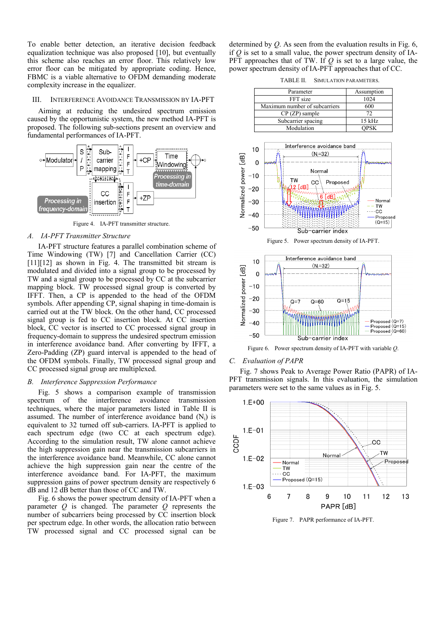To enable better detection, an iterative decision feedback equalization technique was also proposed [10], but eventually this scheme also reaches an error floor. This relatively low error floor can be mitigated by appropriate coding. Hence, FBMC is a viable alternative to OFDM demanding moderate complexity increase in the equalizer.

#### III. INTERFERENCE AVOIDANCE TRANSMISSION BY IA-PFT

Aiming at reducing the undesired spectrum emission caused by the opportunistic system, the new method IA-PFT is proposed. The following sub-sections present an overview and fundamental performances of IA-PFT.



Figure 4. IA-PFT transmitter structure.

## *A. IA-PFT Transmitter Structure*

IA-PFT structure features a parallel combination scheme of Time Windowing (TW) [7] and Cancellation Carrier (CC) [11][12] as shown in Fig. 4. The transmitted bit stream is modulated and divided into a signal group to be processed by TW and a signal group to be processed by CC at the subcarrier mapping block. TW processed signal group is converted by IFFT. Then, a CP is appended to the head of the OFDM symbols. After appending CP, signal shaping in time-domain is carried out at the TW block. On the other hand, CC processed signal group is fed to CC insertion block. At CC insertion block, CC vector is inserted to CC processed signal group in frequency-domain to suppress the undesired spectrum emission in interference avoidance band. After converting by IFFT, a Zero-Padding (ZP) guard interval is appended to the head of the OFDM symbols. Finally, TW processed signal group and CC processed signal group are multiplexed.

## *B. Interference Suppression Performance*

Fig. 5 shows a comparison example of transmission spectrum of the interference avoidance transmission techniques, where the major parameters listed in Table II is assumed. The number of interference avoidance band  $(N_i)$  is equivalent to 32 turned off sub-carriers. IA-PFT is applied to each spectrum edge (two CC at each spectrum edge). According to the simulation result, TW alone cannot achieve the high suppression gain near the transmission subcarriers in the interference avoidance band. Meanwhile, CC alone cannot achieve the high suppression gain near the centre of the interference avoidance band. For IA-PFT, the maximum suppression gains of power spectrum density are respectively 6 dB and 12 dB better than those of CC and TW.

Fig. 6 shows the power spectrum density of IA-PFT when a parameter *Q* is changed. The parameter *Q* represents the number of subcarriers being processed by CC insertion block per spectrum edge. In other words, the allocation ratio between TW processed signal and CC processed signal can be determined by *Q*. As seen from the evaluation results in Fig. 6, if *Q* is set to a small value, the power spectrum density of IA-PFT approaches that of TW. If *Q* is set to a large value, the power spectrum density of IA-PFT approaches that of CC.

| TABLE II.<br>SIMULATION PARAMETERS. |
|-------------------------------------|
|-------------------------------------|

|                                                                |                                                    | Parameter                                                                                                                                                                    | Assumption                                 |  |
|----------------------------------------------------------------|----------------------------------------------------|------------------------------------------------------------------------------------------------------------------------------------------------------------------------------|--------------------------------------------|--|
|                                                                |                                                    | FFT size                                                                                                                                                                     | 1024                                       |  |
|                                                                |                                                    | Maximum number of subcarriers                                                                                                                                                | 600                                        |  |
|                                                                |                                                    | CP (ZP) sample                                                                                                                                                               | 72                                         |  |
|                                                                |                                                    | Subcarrier spacing                                                                                                                                                           | 15 kHz                                     |  |
|                                                                |                                                    | Modulation                                                                                                                                                                   | <b>OPSK</b>                                |  |
| Normalized power [dB]                                          | 10<br>0<br>-10<br>$-20$<br>$-30$<br>$-40$<br>$-50$ | Interference avoidance band<br>$(N=32)$<br>Normal<br>тw<br>CC<br>Proposed<br>$12$ [dB]<br><u>l</u> dB<br>Sub-carrier index<br>Figure 5.<br>Power spectrum density of IA-PFT. | Normal<br>TW<br>CC<br>Proposed<br>$(Q=15)$ |  |
|                                                                |                                                    |                                                                                                                                                                              |                                            |  |
|                                                                | 10                                                 | Interference avoidance band                                                                                                                                                  |                                            |  |
|                                                                |                                                    | $(N=32)$                                                                                                                                                                     |                                            |  |
|                                                                | 0                                                  |                                                                                                                                                                              |                                            |  |
| Normalized power [dB]                                          | -10                                                |                                                                                                                                                                              |                                            |  |
|                                                                | $-20$                                              | $Q=15$<br>$Q = 60$<br>Q=7                                                                                                                                                    |                                            |  |
| -30                                                            |                                                    |                                                                                                                                                                              |                                            |  |
|                                                                | $-40$                                              |                                                                                                                                                                              | Proposed (Q=7)<br>Proposed (Q=15)          |  |
|                                                                | $-50$                                              | carrier index                                                                                                                                                                | Proposed (Q=60)                            |  |
| Power spectrum density of IA-PFT with variable Q.<br>Figure 6. |                                                    |                                                                                                                                                                              |                                            |  |

#### *C. Evaluation of PAPR*

Fig. 7 shows Peak to Average Power Ratio (PAPR) of IA-PFT transmission signals. In this evaluation, the simulation parameters were set to the same values as in Fig. 5.



Figure 7. PAPR performance of IA-PFT.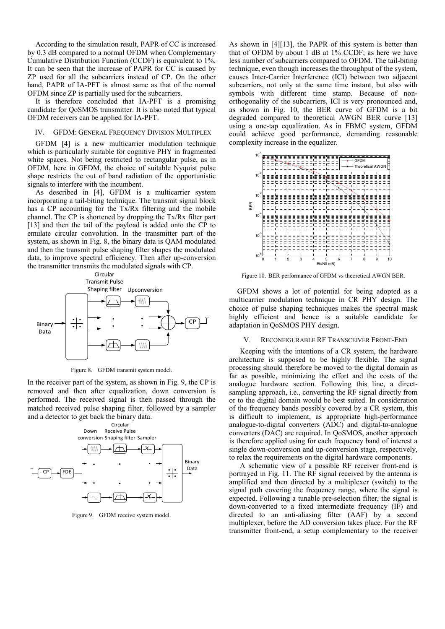According to the simulation result, PAPR of CC is increased by 0.3 dB compared to a normal OFDM when Complementary Cumulative Distribution Function (CCDF) is equivalent to 1%. It can be seen that the increase of PAPR for CC is caused by ZP used for all the subcarriers instead of CP. On the other hand, PAPR of IA-PFT is almost same as that of the normal OFDM since ZP is partially used for the subcarriers.

It is therefore concluded that IA-PFT is a promising candidate for QoSMOS transmitter. It is also noted that typical OFDM receivers can be applied for IA-PFT.

### IV. GFDM: GENERAL FREQUENCY DIVISION MULTIPLEX

GFDM [4] is a new multicarrier modulation technique which is particularly suitable for cognitive PHY in fragmented white spaces. Not being restricted to rectangular pulse, as in OFDM, here in GFDM, the choice of suitable Nyquist pulse shape restricts the out of band radiation of the opportunistic signals to interfere with the incumbent.

As described in [4], GFDM is a multicarrier system incorporating a tail-biting technique. The transmit signal block has a CP accounting for the Tx/Rx filtering and the mobile channel. The CP is shortened by dropping the Tx/Rx filter part [13] and then the tail of the payload is added onto the CP to emulate circular convolution. In the transmitter part of the system, as shown in Fig. 8, the binary data is QAM modulated and then the transmit pulse shaping filter shapes the modulated data, to improve spectral efficiency. Then after up-conversion the transmitter transmits the modulated signals with CP.



Figure 8. GFDM transmit system model.

In the receiver part of the system, as shown in Fig. 9, the CP is removed and then after equalization, down conversion is performed. The received signal is then passed through the matched received pulse shaping filter, followed by a sampler and a detector to get back the binary data.



Figure 9. GFDM receive system model.

As shown in [4][13], the PAPR of this system is better than that of OFDM by about 1 dB at 1% CCDF; as here we have less number of subcarriers compared to OFDM. The tail-biting technique, even though increases the throughput of the system, causes Inter-Carrier Interference (ICI) between two adjacent subcarriers, not only at the same time instant, but also with symbols with different time stamp. Because of nonorthogonality of the subcarriers, ICI is very pronounced and, as shown in Fig. 10, the BER curve of GFDM is a bit degraded compared to theoretical AWGN BER curve [13] using a one-tap equalization. As in FBMC system, GFDM could achieve good performance, demanding reasonable complexity increase in the equalizer.



Figure 10. BER performance of GFDM vs theoretical AWGN BER.

GFDM shows a lot of potential for being adopted as a multicarrier modulation technique in CR PHY design. The choice of pulse shaping techniques makes the spectral mask highly efficient and hence is a suitable candidate for adaptation in QoSMOS PHY design.

## V. RECONFIGURABLE RF TRANSCEIVER FRONT-END

Keeping with the intentions of a CR system, the hardware architecture is supposed to be highly flexible. The signal processing should therefore be moved to the digital domain as far as possible, minimizing the effort and the costs of the analogue hardware section. Following this line, a directsampling approach, i.e., converting the RF signal directly from or to the digital domain would be best suited. In consideration of the frequency bands possibly covered by a CR system, this is difficult to implement, as appropriate high-performance analogue-to-digital converters (ADC) and digital-to-analogue converters (DAC) are required. In QoSMOS, another approach is therefore applied using for each frequency band of interest a single down-conversion and up-conversion stage, respectively, to relax the requirements on the digital hardware components.

A schematic view of a possible RF receiver front-end is portrayed in Fig. 11. The RF signal received by the antenna is amplified and then directed by a multiplexer (switch) to the signal path covering the frequency range, where the signal is expected. Following a tunable pre-selection filter, the signal is down-converted to a fixed intermediate frequency (IF) and directed to an anti-aliasing filter (AAF) by a second multiplexer, before the AD conversion takes place. For the RF transmitter front-end, a setup complementary to the receiver